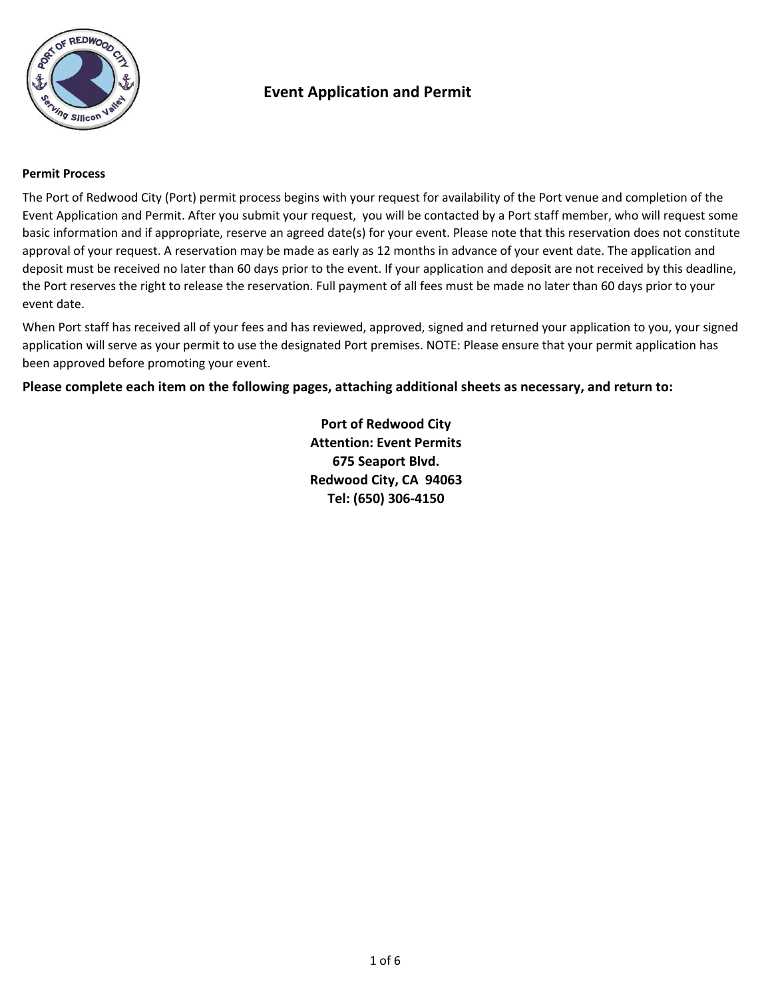

### **Permit Process**

The Port of Redwood City (Port) permit process begins with your request for availability of the Port venue and completion of the Event Application and Permit. After you submit your request, you will be contacted by a Port staff member, who will request some basic information and if appropriate, reserve an agreed date(s) for your event. Please note that this reservation does not constitute approval of your request. A reservation may be made as early as 12 months in advance of your event date. The application and deposit must be received no later than 60 days prior to the event. If your application and deposit are not received by this deadline, the Port reserves the right to release the reservation. Full payment of all fees must be made no later than 60 days prior to your event date.

When Port staff has received all of your fees and has reviewed, approved, signed and returned your application to you, your signed application will serve as your permit to use the designated Port premises. NOTE: Please ensure that your permit application has been approved before promoting your event.

**Please complete each item on the following pages, attaching additional sheets as necessary, and return to:**

**Redwood City, CA 94063 Tel: (650) 306-4150 Port of Redwood City Attention: Event Permits 675 Seaport Blvd.**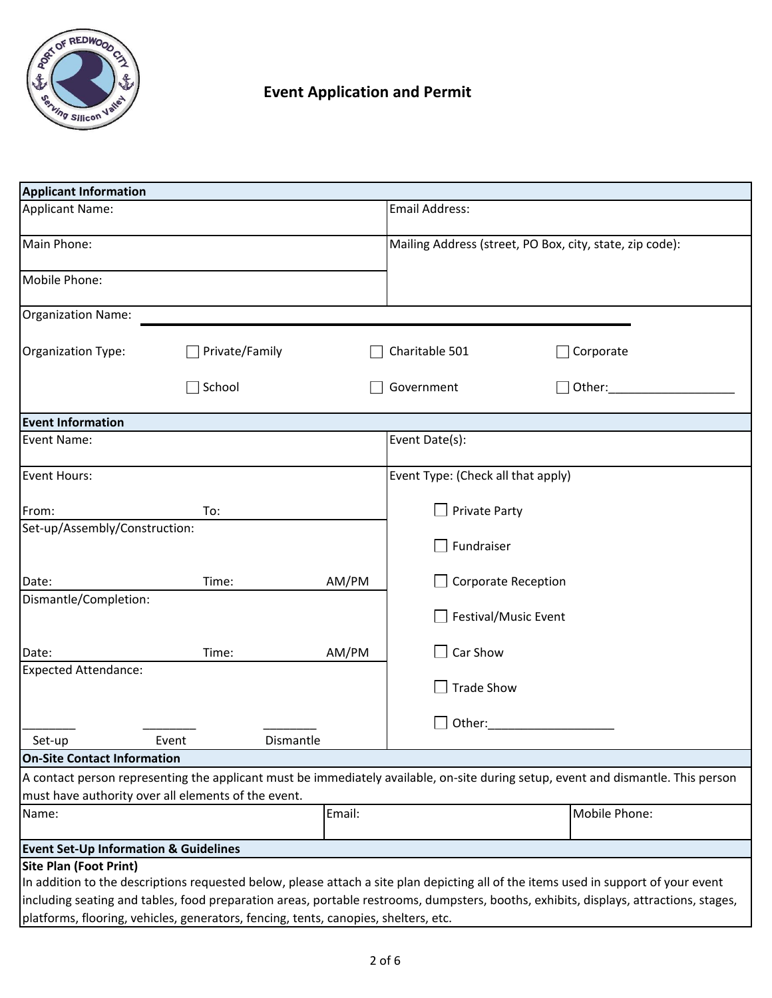

| <b>Applicant Information</b>                        |                                                                                     |        |                                                                                                                                       |
|-----------------------------------------------------|-------------------------------------------------------------------------------------|--------|---------------------------------------------------------------------------------------------------------------------------------------|
| <b>Applicant Name:</b>                              |                                                                                     |        | Email Address:                                                                                                                        |
|                                                     |                                                                                     |        |                                                                                                                                       |
| Main Phone:                                         |                                                                                     |        | Mailing Address (street, PO Box, city, state, zip code):                                                                              |
| Mobile Phone:                                       |                                                                                     |        |                                                                                                                                       |
| Organization Name:                                  |                                                                                     |        |                                                                                                                                       |
| Organization Type:                                  | Private/Family                                                                      |        | Charitable 501<br>Corporate                                                                                                           |
|                                                     | School                                                                              |        | Government<br>Other:                                                                                                                  |
| <b>Event Information</b>                            |                                                                                     |        |                                                                                                                                       |
| Event Name:                                         |                                                                                     |        | Event Date(s):                                                                                                                        |
| Event Hours:                                        |                                                                                     |        | Event Type: (Check all that apply)                                                                                                    |
| From:                                               | To:                                                                                 |        | <b>Private Party</b>                                                                                                                  |
| Set-up/Assembly/Construction:                       |                                                                                     |        |                                                                                                                                       |
|                                                     |                                                                                     |        | Fundraiser                                                                                                                            |
| Date:                                               | Time:                                                                               | AM/PM  | <b>Corporate Reception</b>                                                                                                            |
| Dismantle/Completion:                               |                                                                                     |        | Festival/Music Event                                                                                                                  |
| Date:                                               | Time:                                                                               | AM/PM  | Car Show                                                                                                                              |
| <b>Expected Attendance:</b>                         |                                                                                     |        |                                                                                                                                       |
|                                                     |                                                                                     |        | <b>Trade Show</b>                                                                                                                     |
|                                                     |                                                                                     |        | Other:                                                                                                                                |
| Set-up                                              | Dismantle<br>Event                                                                  |        |                                                                                                                                       |
| <b>On-Site Contact Information</b>                  |                                                                                     |        |                                                                                                                                       |
|                                                     |                                                                                     |        | A contact person representing the applicant must be immediately available, on-site during setup, event and dismantle. This person     |
| must have authority over all elements of the event. |                                                                                     |        |                                                                                                                                       |
| Name:                                               |                                                                                     | Email: | Mobile Phone:                                                                                                                         |
| <b>Event Set-Up Information &amp; Guidelines</b>    |                                                                                     |        |                                                                                                                                       |
| <b>Site Plan (Foot Print)</b>                       |                                                                                     |        |                                                                                                                                       |
|                                                     |                                                                                     |        | In addition to the descriptions requested below, please attach a site plan depicting all of the items used in support of your event   |
|                                                     |                                                                                     |        | including seating and tables, food preparation areas, portable restrooms, dumpsters, booths, exhibits, displays, attractions, stages, |
|                                                     | platforms, flooring, vehicles, generators, fencing, tents, canopies, shelters, etc. |        |                                                                                                                                       |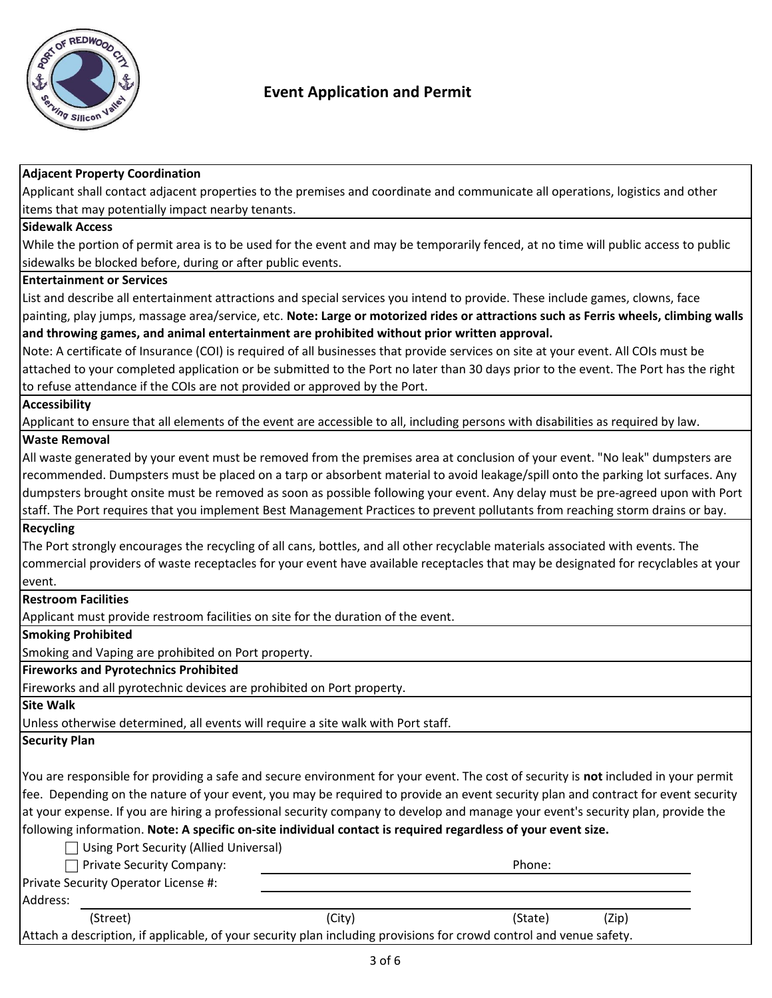

| <b>Adjacent Property Coordination</b>                                                                                                |        |         |       |
|--------------------------------------------------------------------------------------------------------------------------------------|--------|---------|-------|
| Applicant shall contact adjacent properties to the premises and coordinate and communicate all operations, logistics and other       |        |         |       |
| items that may potentially impact nearby tenants.                                                                                    |        |         |       |
| <b>Sidewalk Access</b>                                                                                                               |        |         |       |
| While the portion of permit area is to be used for the event and may be temporarily fenced, at no time will public access to public  |        |         |       |
| sidewalks be blocked before, during or after public events.                                                                          |        |         |       |
| <b>Entertainment or Services</b>                                                                                                     |        |         |       |
| List and describe all entertainment attractions and special services you intend to provide. These include games, clowns, face        |        |         |       |
| painting, play jumps, massage area/service, etc. Note: Large or motorized rides or attractions such as Ferris wheels, climbing walls |        |         |       |
| and throwing games, and animal entertainment are prohibited without prior written approval.                                          |        |         |       |
| Note: A certificate of Insurance (COI) is required of all businesses that provide services on site at your event. All COIs must be   |        |         |       |
| attached to your completed application or be submitted to the Port no later than 30 days prior to the event. The Port has the right  |        |         |       |
| to refuse attendance if the COIs are not provided or approved by the Port.                                                           |        |         |       |
| <b>Accessibility</b>                                                                                                                 |        |         |       |
| Applicant to ensure that all elements of the event are accessible to all, including persons with disabilities as required by law.    |        |         |       |
| <b>Waste Removal</b>                                                                                                                 |        |         |       |
| All waste generated by your event must be removed from the premises area at conclusion of your event. "No leak" dumpsters are        |        |         |       |
| recommended. Dumpsters must be placed on a tarp or absorbent material to avoid leakage/spill onto the parking lot surfaces. Any      |        |         |       |
| dumpsters brought onsite must be removed as soon as possible following your event. Any delay must be pre-agreed upon with Port       |        |         |       |
| staff. The Port requires that you implement Best Management Practices to prevent pollutants from reaching storm drains or bay.       |        |         |       |
| <b>Recycling</b>                                                                                                                     |        |         |       |
| The Port strongly encourages the recycling of all cans, bottles, and all other recyclable materials associated with events. The      |        |         |       |
| commercial providers of waste receptacles for your event have available receptacles that may be designated for recyclables at your   |        |         |       |
| event.                                                                                                                               |        |         |       |
| <b>Restroom Facilities</b>                                                                                                           |        |         |       |
| Applicant must provide restroom facilities on site for the duration of the event.                                                    |        |         |       |
| <b>Smoking Prohibited</b>                                                                                                            |        |         |       |
| Smoking and Vaping are prohibited on Port property.                                                                                  |        |         |       |
| <b>Fireworks and Pyrotechnics Prohibited</b>                                                                                         |        |         |       |
| Fireworks and all pyrotechnic devices are prohibited on Port property.                                                               |        |         |       |
| <b>Site Walk</b>                                                                                                                     |        |         |       |
| Unless otherwise determined, all events will require a site walk with Port staff.                                                    |        |         |       |
| <b>Security Plan</b>                                                                                                                 |        |         |       |
|                                                                                                                                      |        |         |       |
| You are responsible for providing a safe and secure environment for your event. The cost of security is not included in your permit  |        |         |       |
| fee. Depending on the nature of your event, you may be required to provide an event security plan and contract for event security    |        |         |       |
| at your expense. If you are hiring a professional security company to develop and manage your event's security plan, provide the     |        |         |       |
| following information. Note: A specific on-site individual contact is required regardless of your event size.                        |        |         |       |
| Using Port Security (Allied Universal)                                                                                               |        |         |       |
| Private Security Company:                                                                                                            |        | Phone:  |       |
| Private Security Operator License #:                                                                                                 |        |         |       |
| Address:                                                                                                                             |        |         |       |
| (Street)                                                                                                                             | (City) | (State) | (Zip) |
| Attach a description, if applicable, of your security plan including provisions for crowd control and venue safety.                  |        |         |       |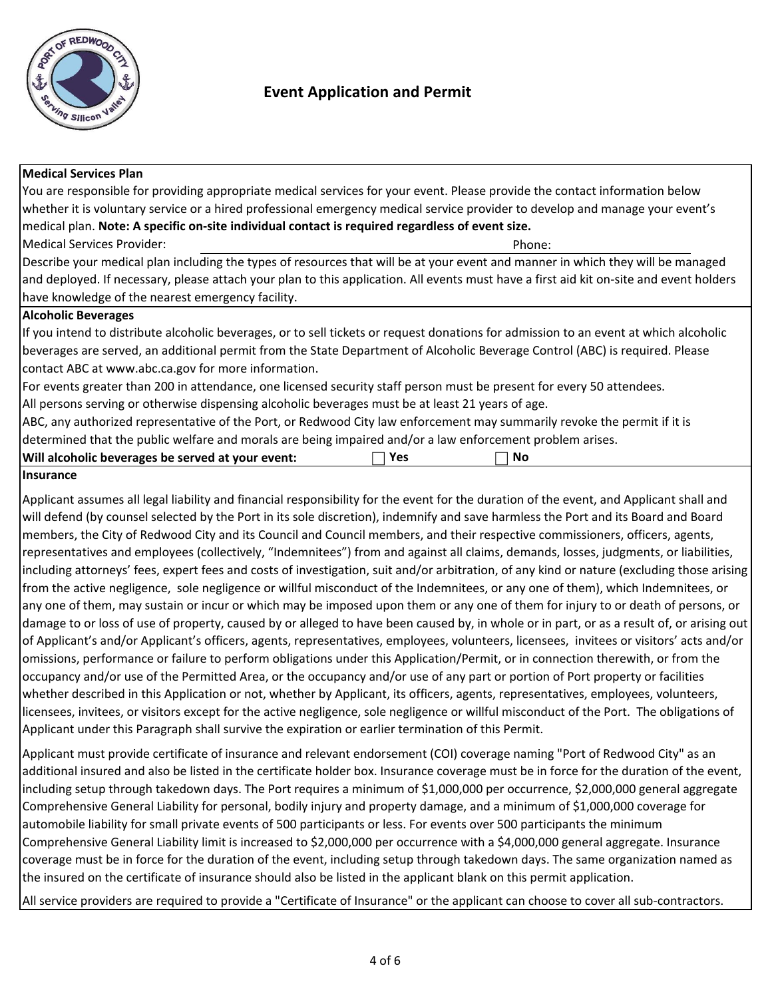

### **Medical Services Plan**

Phone: Medical Services Provider: You are responsible for providing appropriate medical services for your event. Please provide the contact information below whether it is voluntary service or a hired professional emergency medical service provider to develop and manage your event's medical plan. **Note: A specific on-site individual contact is required regardless of event size.** If you intend to distribute alcoholic beverages, or to sell tickets or request donations for admission to an event at which alcoholic beverages are served, an additional permit from the State Department of Alcoholic Beverage Control (ABC) is required. Please contact ABC at www.abc.ca.gov for more information. Describe your medical plan including the types of resources that will be at your event and manner in which they will be managed and deployed. If necessary, please attach your plan to this application. All events must have a first aid kit on-site and event holders have knowledge of the nearest emergency facility. For events greater than 200 in attendance, one licensed security staff person must be present for every 50 attendees. All persons serving or otherwise dispensing alcoholic beverages must be at least 21 years of age. ABC, any authorized representative of the Port, or Redwood City law enforcement may summarily revoke the permit if it is determined that the public welfare and morals are being impaired and/or a law enforcement problem arises. **Alcoholic Beverages**

| Will alcoholic beverages be served at your event: |  | 'Vρ.<br>. . | N0 |  |
|---------------------------------------------------|--|-------------|----|--|
|                                                   |  |             |    |  |
|                                                   |  |             |    |  |

### **Insurance**

Applicant assumes all legal liability and financial responsibility for the event for the duration of the event, and Applicant shall and will defend (by counsel selected by the Port in its sole discretion), indemnify and save harmless the Port and its Board and Board members, the City of Redwood City and its Council and Council members, and their respective commissioners, officers, agents, representatives and employees (collectively, "Indemnitees") from and against all claims, demands, losses, judgments, or liabilities, including attorneys' fees, expert fees and costs of investigation, suit and/or arbitration, of any kind or nature (excluding those arising from the active negligence, sole negligence or willful misconduct of the Indemnitees, or any one of them), which Indemnitees, or any one of them, may sustain or incur or which may be imposed upon them or any one of them for injury to or death of persons, or damage to or loss of use of property, caused by or alleged to have been caused by, in whole or in part, or as a result of, or arising out of Applicant's and/or Applicant's officers, agents, representatives, employees, volunteers, licensees, invitees or visitors' acts and/or omissions, performance or failure to perform obligations under this Application/Permit, or in connection therewith, or from the occupancy and/or use of the Permitted Area, or the occupancy and/or use of any part or portion of Port property or facilities whether described in this Application or not, whether by Applicant, its officers, agents, representatives, employees, volunteers, licensees, invitees, or visitors except for the active negligence, sole negligence or willful misconduct of the Port. The obligations of Applicant under this Paragraph shall survive the expiration or earlier termination of this Permit.

Applicant must provide certificate of insurance and relevant endorsement (COI) coverage naming "Port of Redwood City" as an additional insured and also be listed in the certificate holder box. Insurance coverage must be in force for the duration of the event, including setup through takedown days. The Port requires a minimum of \$1,000,000 per occurrence, \$2,000,000 general aggregate Comprehensive General Liability for personal, bodily injury and property damage, and a minimum of \$1,000,000 coverage for automobile liability for small private events of 500 participants or less. For events over 500 participants the minimum Comprehensive General Liability limit is increased to \$2,000,000 per occurrence with a \$4,000,000 general aggregate. Insurance coverage must be in force for the duration of the event, including setup through takedown days. The same organization named as the insured on the certificate of insurance should also be listed in the applicant blank on this permit application.

All service providers are required to provide a "Certificate of Insurance" or the applicant can choose to cover all sub-contractors.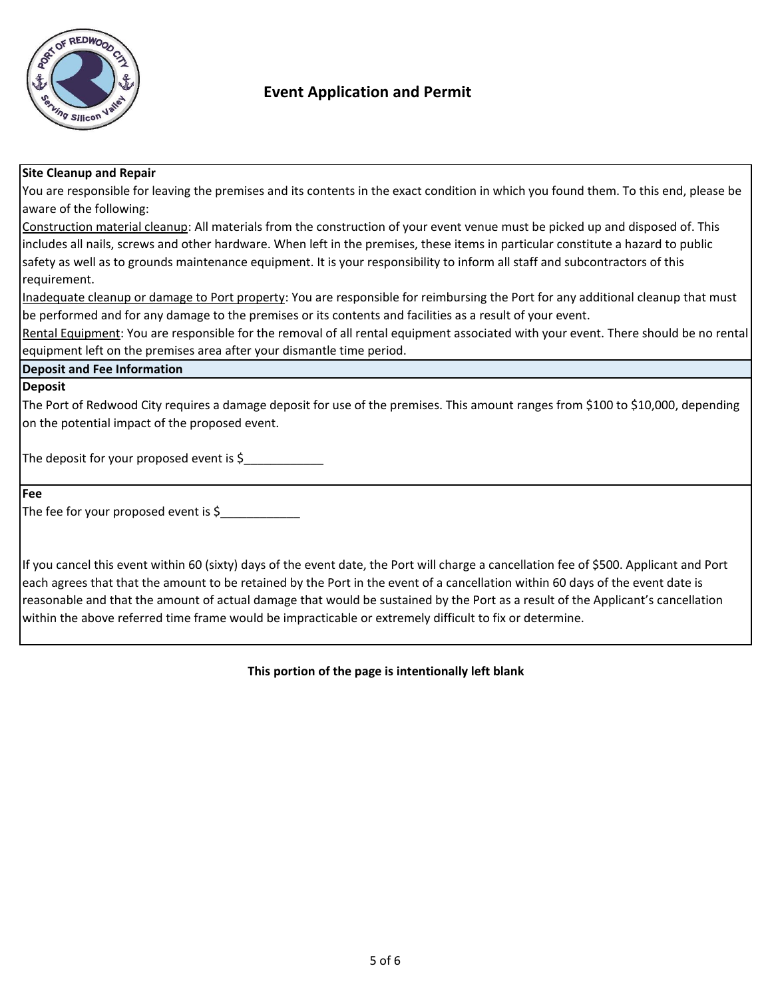

### **Site Cleanup and Repair**

You are responsible for leaving the premises and its contents in the exact condition in which you found them. To this end, please be aware of the following:

Construction material cleanup: All materials from the construction of your event venue must be picked up and disposed of. This includes all nails, screws and other hardware. When left in the premises, these items in particular constitute a hazard to public safety as well as to grounds maintenance equipment. It is your responsibility to inform all staff and subcontractors of this requirement.

Inadequate cleanup or damage to Port property: You are responsible for reimbursing the Port for any additional cleanup that must be performed and for any damage to the premises or its contents and facilities as a result of your event.

Rental Equipment: You are responsible for the removal of all rental equipment associated with your event. There should be no rental equipment left on the premises area after your dismantle time period.

#### **Deposit and Fee Information**

#### **Deposit**

The Port of Redwood City requires a damage deposit for use of the premises. This amount ranges from \$100 to \$10,000, depending on the potential impact of the proposed event.

The deposit for your proposed event is  $\zeta$ 

**Fee**

The fee for your proposed event is  $\zeta$ 

If you cancel this event within 60 (sixty) days of the event date, the Port will charge a cancellation fee of \$500. Applicant and Port each agrees that that the amount to be retained by the Port in the event of a cancellation within 60 days of the event date is reasonable and that the amount of actual damage that would be sustained by the Port as a result of the Applicant's cancellation within the above referred time frame would be impracticable or extremely difficult to fix or determine.

**This portion of the page is intentionally left blank**